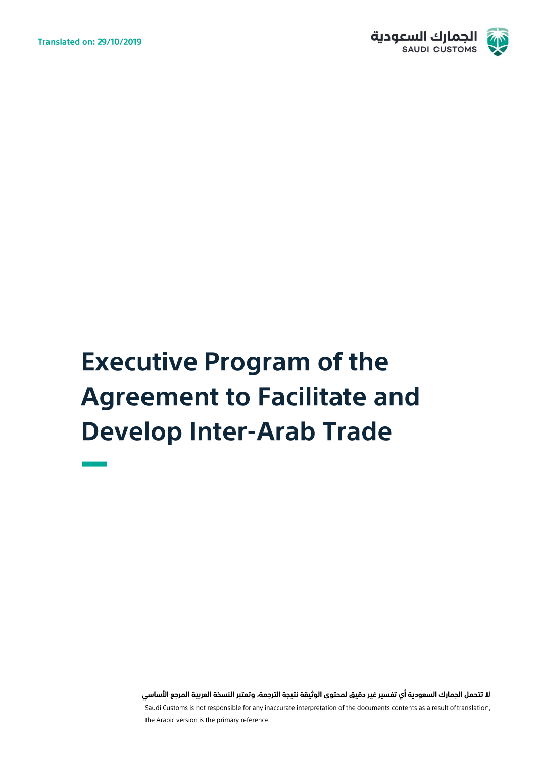

# **Executive Program of the Agreement to Facilitate and Develop Inter-Arab Trade**

لا تتحمل الجمارك السعودية أي تفسير غير دقيق لمحتوى الوثيقة نتيجة الترجمة، وتعتبر النسخة العربية المرجع الأساسي Saudi Customs is not responsible for any inaccurate interpretation of the documents contents as a result of translation, the Arabic version is the primary reference.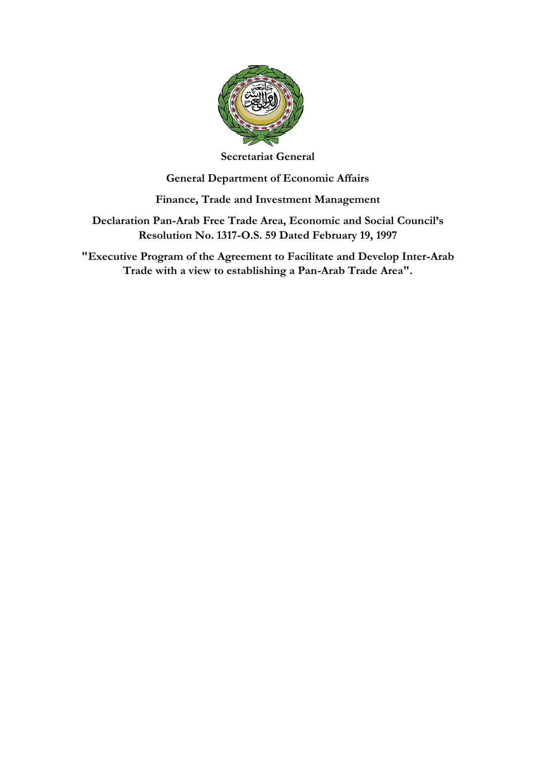

**Secretariat General**

# **General Department of Economic Affairs**

# **Finance, Trade and Investment Management**

**Declaration Pan-Arab Free Trade Area, Economic and Social Council's Resolution No. 1317-O.S. 59 Dated February 19, 1997**

**"Executive Program of the Agreement to Facilitate and Develop Inter-Arab Trade with a view to establishing a Pan-Arab Trade Area".**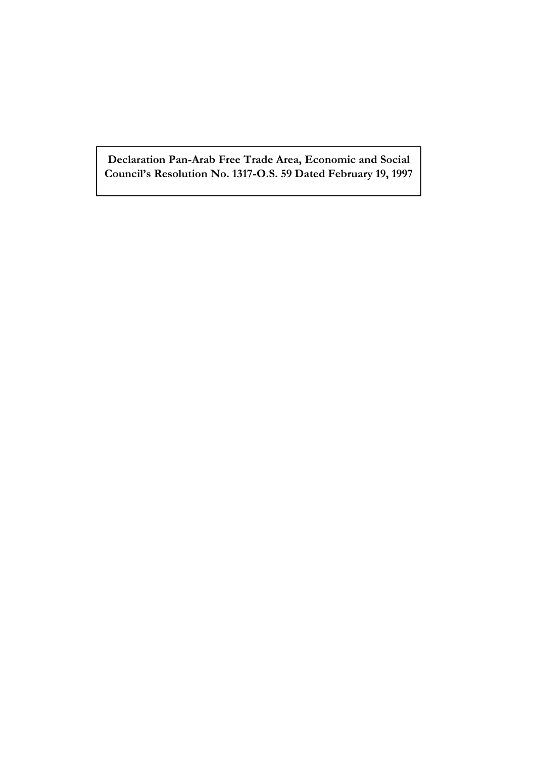**Declaration Pan-Arab Free Trade Area, Economic and Social Council's Resolution No. 1317-O.S. 59 Dated February 19, 1997**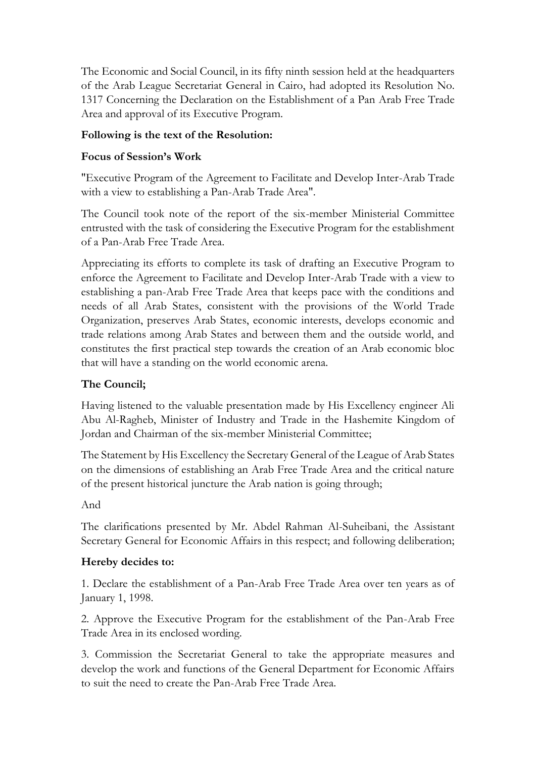The Economic and Social Council, in its fifty ninth session held at the headquarters of the Arab League Secretariat General in Cairo, had adopted its Resolution No. 1317 Concerning the Declaration on the Establishment of a Pan Arab Free Trade Area and approval of its Executive Program.

## **Following is the text of the Resolution:**

## **Focus of Session's Work**

"Executive Program of the Agreement to Facilitate and Develop Inter-Arab Trade with a view to establishing a Pan-Arab Trade Area".

The Council took note of the report of the six-member Ministerial Committee entrusted with the task of considering the Executive Program for the establishment of a Pan-Arab Free Trade Area.

Appreciating its efforts to complete its task of drafting an Executive Program to enforce the Agreement to Facilitate and Develop Inter-Arab Trade with a view to establishing a pan-Arab Free Trade Area that keeps pace with the conditions and needs of all Arab States, consistent with the provisions of the World Trade Organization, preserves Arab States, economic interests, develops economic and trade relations among Arab States and between them and the outside world, and constitutes the first practical step towards the creation of an Arab economic bloc that will have a standing on the world economic arena.

#### **The Council;**

Having listened to the valuable presentation made by His Excellency engineer Ali Abu Al-Ragheb, Minister of Industry and Trade in the Hashemite Kingdom of Jordan and Chairman of the six-member Ministerial Committee;

The Statement by His Excellency the Secretary General of the League of Arab States on the dimensions of establishing an Arab Free Trade Area and the critical nature of the present historical juncture the Arab nation is going through;

#### And

The clarifications presented by Mr. Abdel Rahman Al-Suheibani, the Assistant Secretary General for Economic Affairs in this respect; and following deliberation;

#### **Hereby decides to:**

1. Declare the establishment of a Pan-Arab Free Trade Area over ten years as of January 1, 1998.

2. Approve the Executive Program for the establishment of the Pan-Arab Free Trade Area in its enclosed wording.

3. Commission the Secretariat General to take the appropriate measures and develop the work and functions of the General Department for Economic Affairs to suit the need to create the Pan-Arab Free Trade Area.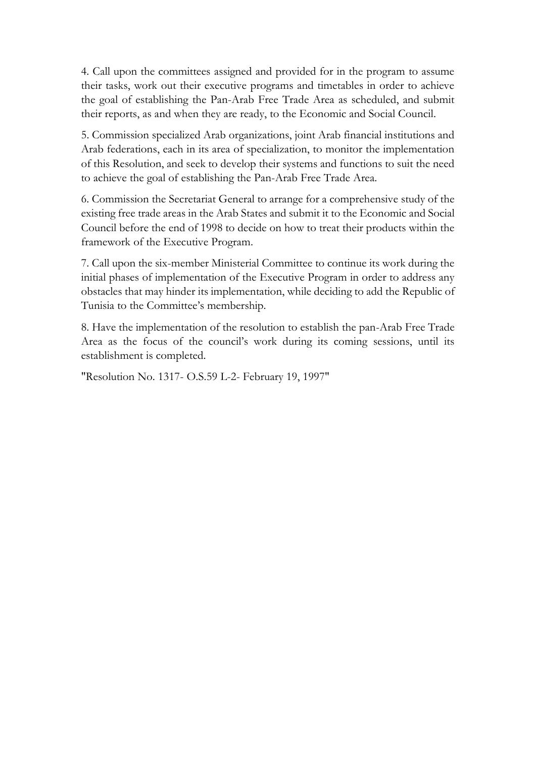4. Call upon the committees assigned and provided for in the program to assume their tasks, work out their executive programs and timetables in order to achieve the goal of establishing the Pan-Arab Free Trade Area as scheduled, and submit their reports, as and when they are ready, to the Economic and Social Council.

5. Commission specialized Arab organizations, joint Arab financial institutions and Arab federations, each in its area of specialization, to monitor the implementation of this Resolution, and seek to develop their systems and functions to suit the need to achieve the goal of establishing the Pan-Arab Free Trade Area.

6. Commission the Secretariat General to arrange for a comprehensive study of the existing free trade areas in the Arab States and submit it to the Economic and Social Council before the end of 1998 to decide on how to treat their products within the framework of the Executive Program.

7. Call upon the six-member Ministerial Committee to continue its work during the initial phases of implementation of the Executive Program in order to address any obstacles that may hinder its implementation, while deciding to add the Republic of Tunisia to the Committee's membership.

8. Have the implementation of the resolution to establish the pan-Arab Free Trade Area as the focus of the council's work during its coming sessions, until its establishment is completed.

"Resolution No. 1317- O.S.59 L-2- February 19, 1997"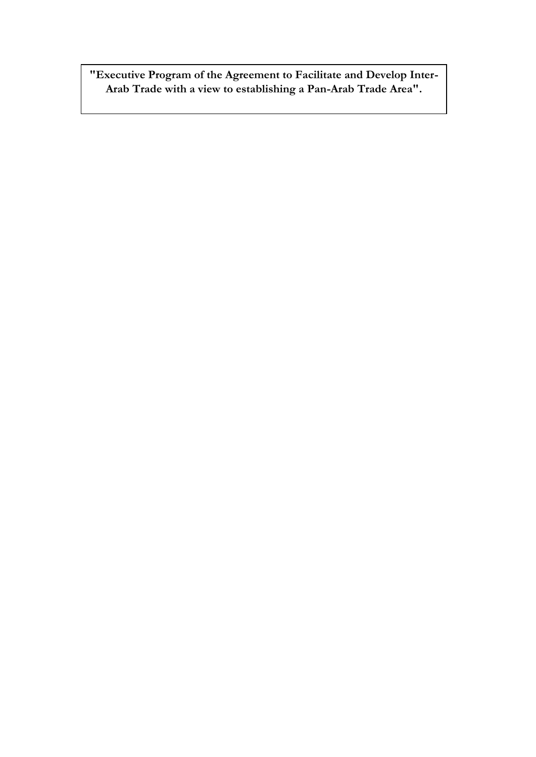**"Executive Program of the Agreement to Facilitate and Develop Inter-Arab Trade with a view to establishing a Pan-Arab Trade Area".**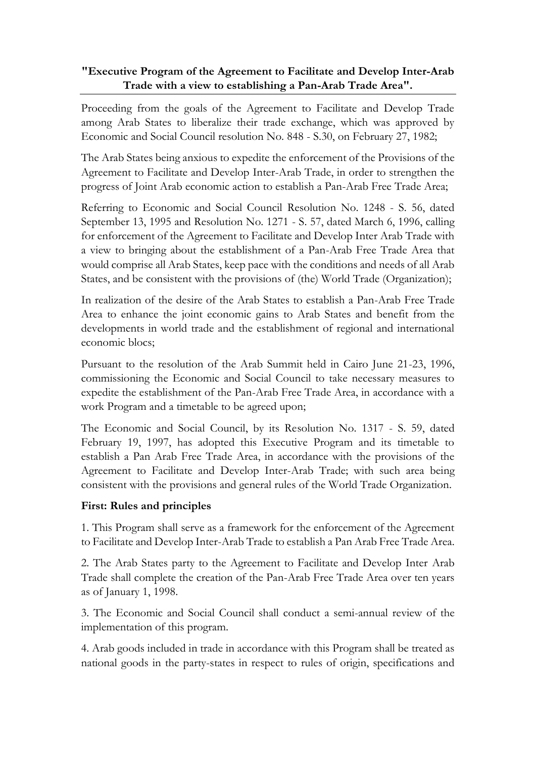## **"Executive Program of the Agreement to Facilitate and Develop Inter-Arab Trade with a view to establishing a Pan-Arab Trade Area".**

Proceeding from the goals of the Agreement to Facilitate and Develop Trade among Arab States to liberalize their trade exchange, which was approved by Economic and Social Council resolution No. 848 - S.30, on February 27, 1982;

The Arab States being anxious to expedite the enforcement of the Provisions of the Agreement to Facilitate and Develop Inter-Arab Trade, in order to strengthen the progress of Joint Arab economic action to establish a Pan-Arab Free Trade Area;

Referring to Economic and Social Council Resolution No. 1248 - S. 56, dated September 13, 1995 and Resolution No. 1271 - S. 57, dated March 6, 1996, calling for enforcement of the Agreement to Facilitate and Develop Inter Arab Trade with a view to bringing about the establishment of a Pan-Arab Free Trade Area that would comprise all Arab States, keep pace with the conditions and needs of all Arab States, and be consistent with the provisions of (the) World Trade (Organization);

In realization of the desire of the Arab States to establish a Pan-Arab Free Trade Area to enhance the joint economic gains to Arab States and benefit from the developments in world trade and the establishment of regional and international economic blocs;

Pursuant to the resolution of the Arab Summit held in Cairo June 21-23, 1996, commissioning the Economic and Social Council to take necessary measures to expedite the establishment of the Pan-Arab Free Trade Area, in accordance with a work Program and a timetable to be agreed upon;

The Economic and Social Council, by its Resolution No. 1317 - S. 59, dated February 19, 1997, has adopted this Executive Program and its timetable to establish a Pan Arab Free Trade Area, in accordance with the provisions of the Agreement to Facilitate and Develop Inter-Arab Trade; with such area being consistent with the provisions and general rules of the World Trade Organization.

#### **First: Rules and principles**

1. This Program shall serve as a framework for the enforcement of the Agreement to Facilitate and Develop Inter-Arab Trade to establish a Pan Arab Free Trade Area.

2. The Arab States party to the Agreement to Facilitate and Develop Inter Arab Trade shall complete the creation of the Pan-Arab Free Trade Area over ten years as of January 1, 1998.

3. The Economic and Social Council shall conduct a semi-annual review of the implementation of this program.

4. Arab goods included in trade in accordance with this Program shall be treated as national goods in the party-states in respect to rules of origin, specifications and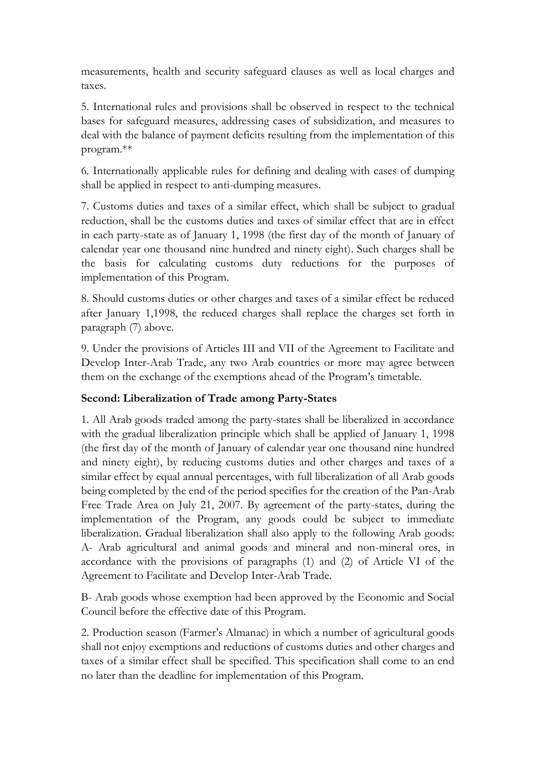measurements, health and security safeguard clauses as well as local charges and taxes.

5. International rules and provisions shall be observed in respect to the technical bases for safeguard measures, addressing cases of subsidization, and measures to deal with the balance of payment deficits resulting from the implementation of this program.\*\*

6. Internationally applicable rules for defining and dealing with cases of dumping shall be applied in respect to anti-dumping measures.

7. Customs duties and taxes of a similar effect, which shall be subject to gradual reduction, shall be the customs duties and taxes of similar effect that are in effect in each party-state as of January 1, 1998 (the first day of the month of January of calendar year one thousand nine hundred and ninety eight). Such charges shall be the basis for calculating customs duty reductions for the purposes of implementation of this Program.

8. Should customs duties or other charges and taxes of a similar effect be reduced after January 1,1998, the reduced charges shall replace the charges set forth in paragraph (7) above.

9. Under the provisions of Articles III and VII of the Agreement to Facilitate and Develop Inter-Arab Trade, any two Arab countries or more may agree between them on the exchange of the exemptions ahead of the Program's timetable.

# **Second: Liberalization of Trade among Party-States**

1. All Arab goods traded among the party-states shall be liberalized in accordance with the gradual liberalization principle which shall be applied of January 1, 1998 (the first day of the month of January of calendar year one thousand nine hundred and ninety eight), by reducing customs duties and other charges and taxes of a similar effect by equal annual percentages, with full liberalization of all Arab goods being completed by the end of the period specifies for the creation of the Pan-Arab Free Trade Area on July 21, 2007. By agreement of the party-states, during the implementation of the Program, any goods could be subject to immediate liberalization. Gradual liberalization shall also apply to the following Arab goods: A- Arab agricultural and animal goods and mineral and non-mineral ores, in accordance with the provisions of paragraphs (1) and (2) of Article VI of the Agreement to Facilitate and Develop Inter-Arab Trade.

B- Arab goods whose exemption had been approved by the Economic and Social Council before the effective date of this Program.

2. Production season (Farmer's Almanac) in which a number of agricultural goods shall not enjoy exemptions and reductions of customs duties and other charges and taxes of a similar effect shall be specified. This specification shall come to an end no later than the deadline for implementation of this Program.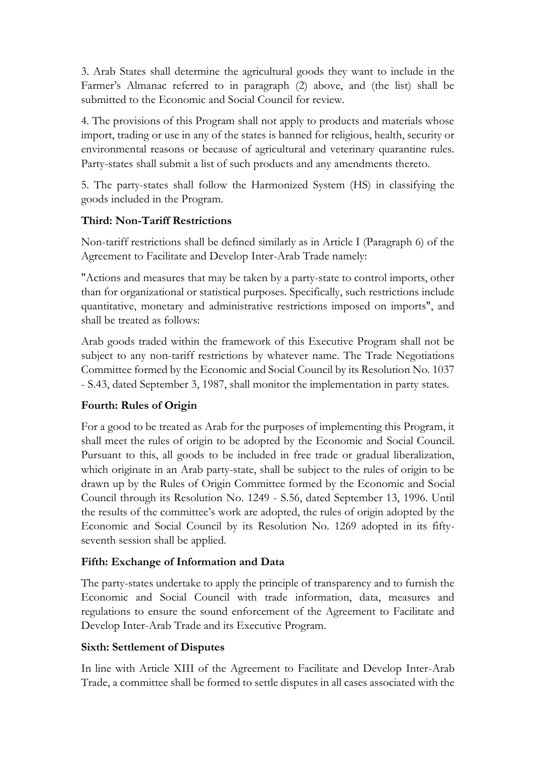3. Arab States shall determine the agricultural goods they want to include in the Farmer's Almanac referred to in paragraph (2) above, and (the list) shall be submitted to the Economic and Social Council for review.

4. The provisions of this Program shall not apply to products and materials whose import, trading or use in any of the states is banned for religious, health, security or environmental reasons or because of agricultural and veterinary quarantine rules. Party-states shall submit a list of such products and any amendments thereto.

5. The party-states shall follow the Harmonized System (HS) in classifying the goods included in the Program.

# **Third: Non-Tariff Restrictions**

Non-tariff restrictions shall be defined similarly as in Article I (Paragraph 6) of the Agreement to Facilitate and Develop Inter-Arab Trade namely:

"Actions and measures that may be taken by a party-state to control imports, other than for organizational or statistical purposes. Specifically, such restrictions include quantitative, monetary and administrative restrictions imposed on imports", and shall be treated as follows:

Arab goods traded within the framework of this Executive Program shall not be subject to any non-tariff restrictions by whatever name. The Trade Negotiations Committee formed by the Economic and Social Council by its Resolution No. 1037 - S.43, dated September 3, 1987, shall monitor the implementation in party states.

# **Fourth: Rules of Origin**

For a good to be treated as Arab for the purposes of implementing this Program, it shall meet the rules of origin to be adopted by the Economic and Social Council. Pursuant to this, all goods to be included in free trade or gradual liberalization, which originate in an Arab party-state, shall be subject to the rules of origin to be drawn up by the Rules of Origin Committee formed by the Economic and Social Council through its Resolution No. 1249 - S.56, dated September 13, 1996. Until the results of the committee's work are adopted, the rules of origin adopted by the Economic and Social Council by its Resolution No. 1269 adopted in its fiftyseventh session shall be applied.

# **Fifth: Exchange of Information and Data**

The party-states undertake to apply the principle of transparency and to furnish the Economic and Social Council with trade information, data, measures and regulations to ensure the sound enforcement of the Agreement to Facilitate and Develop Inter-Arab Trade and its Executive Program.

#### **Sixth: Settlement of Disputes**

In line with Article XIII of the Agreement to Facilitate and Develop Inter-Arab Trade, a committee shall be formed to settle disputes in all cases associated with the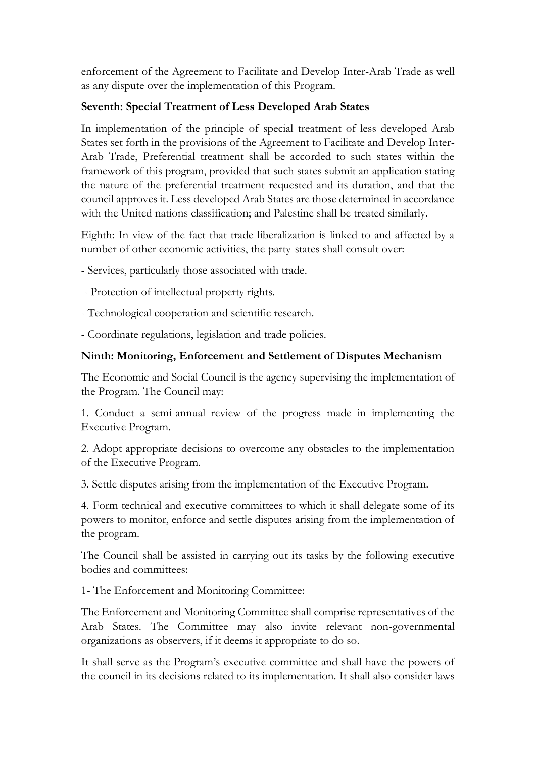enforcement of the Agreement to Facilitate and Develop Inter-Arab Trade as well as any dispute over the implementation of this Program.

## **Seventh: Special Treatment of Less Developed Arab States**

In implementation of the principle of special treatment of less developed Arab States set forth in the provisions of the Agreement to Facilitate and Develop Inter-Arab Trade, Preferential treatment shall be accorded to such states within the framework of this program, provided that such states submit an application stating the nature of the preferential treatment requested and its duration, and that the council approves it. Less developed Arab States are those determined in accordance with the United nations classification; and Palestine shall be treated similarly.

Eighth: In view of the fact that trade liberalization is linked to and affected by a number of other economic activities, the party-states shall consult over:

- Services, particularly those associated with trade.

- Protection of intellectual property rights.
- Technological cooperation and scientific research.
- Coordinate regulations, legislation and trade policies.

# **Ninth: Monitoring, Enforcement and Settlement of Disputes Mechanism**

The Economic and Social Council is the agency supervising the implementation of the Program. The Council may:

1. Conduct a semi-annual review of the progress made in implementing the Executive Program.

2. Adopt appropriate decisions to overcome any obstacles to the implementation of the Executive Program.

3. Settle disputes arising from the implementation of the Executive Program.

4. Form technical and executive committees to which it shall delegate some of its powers to monitor, enforce and settle disputes arising from the implementation of the program.

The Council shall be assisted in carrying out its tasks by the following executive bodies and committees:

1- The Enforcement and Monitoring Committee:

The Enforcement and Monitoring Committee shall comprise representatives of the Arab States. The Committee may also invite relevant non-governmental organizations as observers, if it deems it appropriate to do so.

It shall serve as the Program's executive committee and shall have the powers of the council in its decisions related to its implementation. It shall also consider laws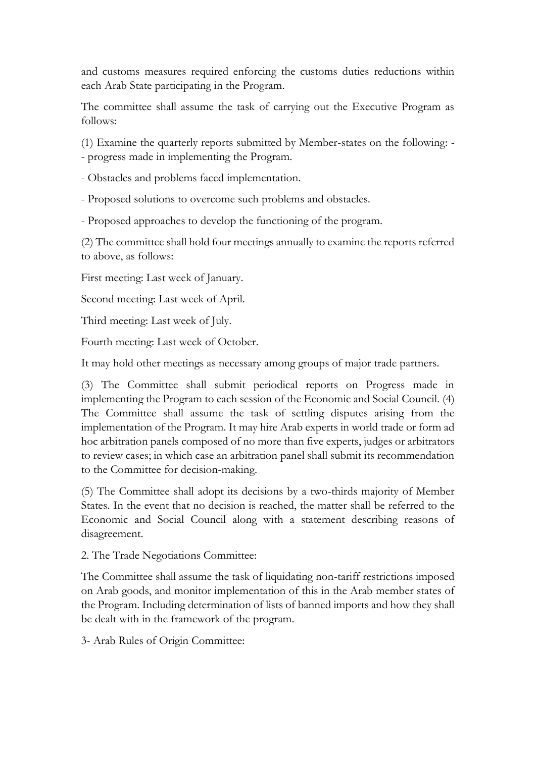and customs measures required enforcing the customs duties reductions within each Arab State participating in the Program.

The committee shall assume the task of carrying out the Executive Program as follows:

(1) Examine the quarterly reports submitted by Member-states on the following: -

- progress made in implementing the Program.

- Obstacles and problems faced implementation.

- Proposed solutions to overcome such problems and obstacles.

- Proposed approaches to develop the functioning of the program.

(2) The committee shall hold four meetings annually to examine the reports referred to above, as follows:

First meeting: Last week of January.

Second meeting: Last week of April.

Third meeting: Last week of July.

Fourth meeting: Last week of October.

It may hold other meetings as necessary among groups of major trade partners.

(3) The Committee shall submit periodical reports on Progress made in implementing the Program to each session of the Economic and Social Council. (4) The Committee shall assume the task of settling disputes arising from the implementation of the Program. It may hire Arab experts in world trade or form ad hoc arbitration panels composed of no more than five experts, judges or arbitrators to review cases; in which case an arbitration panel shall submit its recommendation to the Committee for decision-making.

(5) The Committee shall adopt its decisions by a two-thirds majority of Member States. In the event that no decision is reached, the matter shall be referred to the Economic and Social Council along with a statement describing reasons of disagreement.

2. The Trade Negotiations Committee:

The Committee shall assume the task of liquidating non-tariff restrictions imposed on Arab goods, and monitor implementation of this in the Arab member states of the Program. Including determination of lists of banned imports and how they shall be dealt with in the framework of the program.

3- Arab Rules of Origin Committee: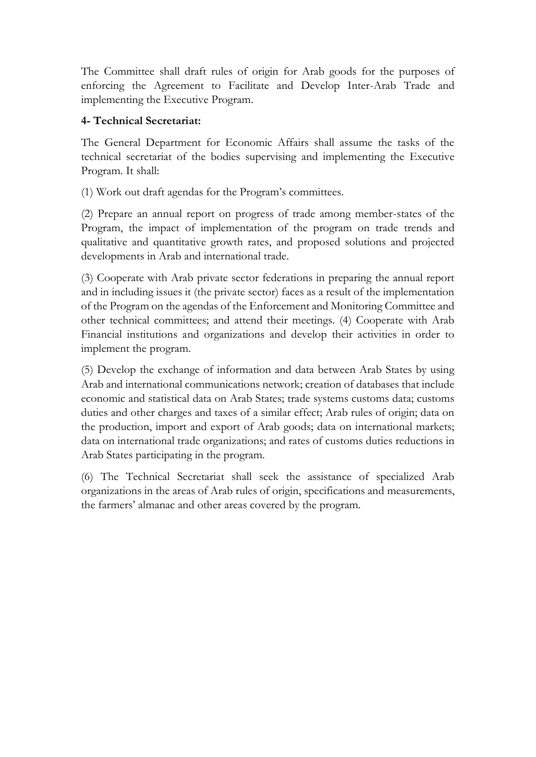The Committee shall draft rules of origin for Arab goods for the purposes of enforcing the Agreement to Facilitate and Develop Inter-Arab Trade and implementing the Executive Program.

#### **4- Technical Secretariat:**

The General Department for Economic Affairs shall assume the tasks of the technical secretariat of the bodies supervising and implementing the Executive Program. It shall:

(1) Work out draft agendas for the Program's committees.

(2) Prepare an annual report on progress of trade among member-states of the Program, the impact of implementation of the program on trade trends and qualitative and quantitative growth rates, and proposed solutions and projected developments in Arab and international trade.

(3) Cooperate with Arab private sector federations in preparing the annual report and in including issues it (the private sector) faces as a result of the implementation of the Program on the agendas of the Enforcement and Monitoring Committee and other technical committees; and attend their meetings. (4) Cooperate with Arab Financial institutions and organizations and develop their activities in order to implement the program.

(5) Develop the exchange of information and data between Arab States by using Arab and international communications network; creation of databases that include economic and statistical data on Arab States; trade systems customs data; customs duties and other charges and taxes of a similar effect; Arab rules of origin; data on the production, import and export of Arab goods; data on international markets; data on international trade organizations; and rates of customs duties reductions in Arab States participating in the program.

(6) The Technical Secretariat shall seek the assistance of specialized Arab organizations in the areas of Arab rules of origin, specifications and measurements, the farmers' almanac and other areas covered by the program.